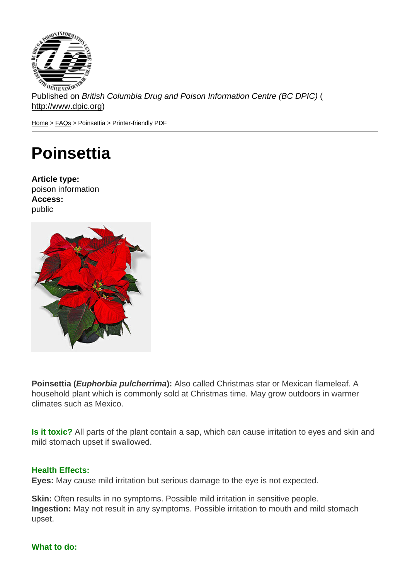Published on British Columbia Drug and Poison Information Centre (BC DPIC) ( http://www.dpic.org)

Home > FAQs > Poinsettia > Printer-friendly PDF

## **[Po](http://www.dpic.org/)[ins](http://www.dpic.org/faq)ettia**

Article type: poison information Access: public

Poinsettia ( Euphorbia pulcherrima ): Also called Christmas star or Mexican flameleaf. A household plant which is commonly sold at Christmas time. May grow outdoors in warmer climates such as Mexico.

Is it toxic? All parts of the plant contain a sap, which can cause irritation to eyes and skin and mild stomach upset if swallowed.

## Health Effects:

Eyes: May cause mild irritation but serious damage to the eye is not expected.

Skin: Often results in no symptoms. Possible mild irritation in sensitive people. Ingestion: May not result in any symptoms. Possible irritation to mouth and mild stomach upset.

## What to do: